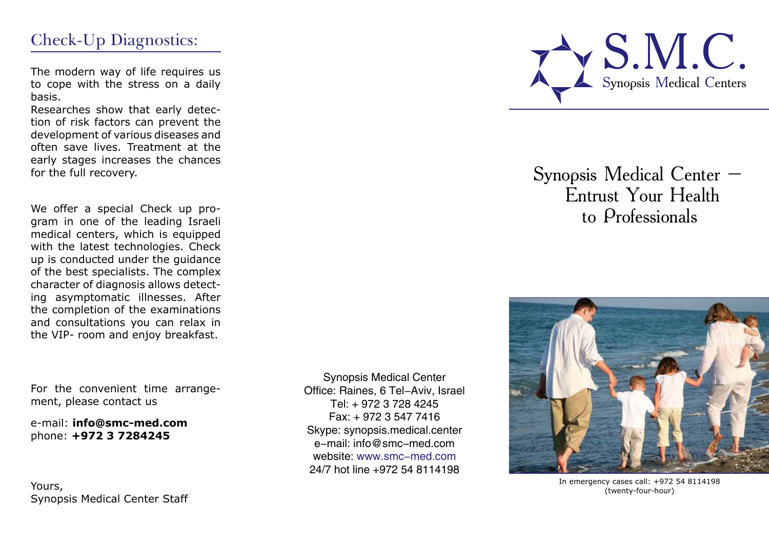## Check-Up Diagnostics:

The modern way of life requires us to cope with the stress on a daily basis.

Researches show that early detection of risk factors can prevent the development of various diseases and often save lives. Treatment at the early stages increases the chances for the full recovery.

We offer a special Check up program in one of the leading Israeli medical centers, which is equipped with the latest technologies. Check up is conducted under the guidance of the best specialists. The complex character of diagnosis allows detecting asymptomatic illnesses. After the completion of the examinations and consultations you can relax in the VIP- room and enjoy breakfast.

For the convenient time arrangement, please contact us

e-mail: **info@smc-med.com** phone: **+972 3 7284245**

Yours, Synopsis Medical Center Staff

Synopsis Medical Center Office: Raines, 6 Tel-Aviv, Israel Tel: + 972 3 728 4245 Fax: + 972 3 547 7416 Skype: synopsis.medical.center e-mail: info@smc-med.com website: www.smc-med.com 24/7 hot line +972 54 8114198



# Synopsis Medical Center – Entrust Your Health to Professionals



In emergency cases call: +972 54 8114198 (twenty-four-hour)